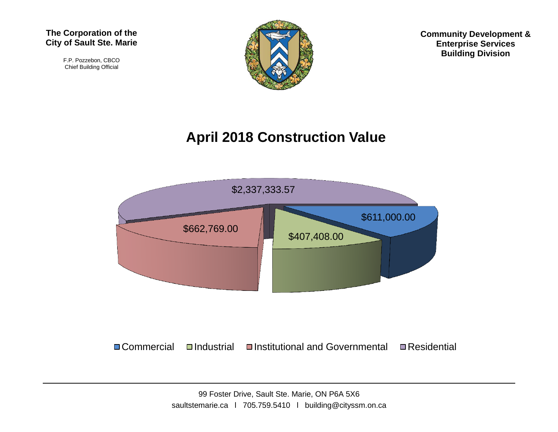

F.P. Pozzebon, CBCO Chief Building Official



**Community Development & Enterprise Services Building Division**

## **April 2018 Construction Value**



 $\Box$  Commercial  $\Box$ Industrial  $\Box$ Institutional and Governmental  $\Box$  Residential

99 Foster Drive, Sault Ste. Marie, ON P6A 5X6 saultstemarie.ca | 705.759.5410 | building@cityssm.on.ca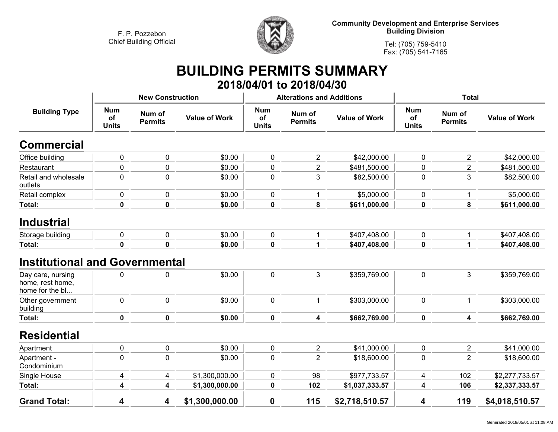

**Community Development and Enterprise Services Building Division**

**Tel: (705) 759-5410Fax: (705) 541-7165**

## **BUILDING PERMITS SUMMARY 2018/04/01 to 2018/04/30**

|                                                          |                                                              | <b>New Construction</b> |                      |                                  | <b>Alterations and Additions</b> |                      | <b>Total</b>                     |                          |                      |
|----------------------------------------------------------|--------------------------------------------------------------|-------------------------|----------------------|----------------------------------|----------------------------------|----------------------|----------------------------------|--------------------------|----------------------|
| <b>Building Type</b>                                     | <b>Num</b><br>Num of<br>of<br><b>Permits</b><br><b>Units</b> |                         | <b>Value of Work</b> | <b>Num</b><br>of<br><b>Units</b> | Num of<br><b>Permits</b>         | <b>Value of Work</b> | <b>Num</b><br>of<br><b>Units</b> | Num of<br><b>Permits</b> | <b>Value of Work</b> |
| <b>Commercial</b>                                        |                                                              |                         |                      |                                  |                                  |                      |                                  |                          |                      |
| Office building                                          | 0                                                            | 0                       | \$0.00               | 0                                | $\overline{2}$                   | \$42,000.00          | $\mathbf 0$                      | $\overline{2}$           | \$42,000.00          |
| Restaurant                                               | 0                                                            | 0                       | \$0.00               | 0                                | $\overline{2}$                   | \$481,500.00         | $\mathbf 0$                      | $\overline{2}$           | \$481,500.00         |
| Retail and wholesale<br>outlets                          | 0                                                            | 0                       | \$0.00               | 0                                | $\mathbf{3}$                     | \$82,500.00          | $\mathbf 0$                      | 3                        | \$82,500.00          |
| Retail complex                                           | 0                                                            | 0                       | \$0.00               | 0                                | 1                                | \$5,000.00           | $\mathbf 0$                      | 1                        | \$5,000.00           |
| Total:                                                   | $\mathbf 0$                                                  | $\mathbf 0$             | \$0.00               | $\mathbf 0$                      | 8                                | \$611,000.00         | $\mathbf 0$                      | 8                        | \$611,000.00         |
| <b>Industrial</b>                                        |                                                              |                         |                      |                                  |                                  |                      |                                  |                          |                      |
| Storage building                                         | 0                                                            | 0                       | \$0.00               | 0                                | 1                                | \$407,408.00         | $\mathbf 0$                      | 1                        | \$407,408.00         |
| Total:                                                   | $\mathbf 0$                                                  | $\mathbf 0$             | \$0.00               | 0                                | 1                                | \$407,408.00         | $\pmb{0}$                        | $\mathbf{1}$             | \$407,408.00         |
| <b>Institutional and Governmental</b>                    |                                                              |                         |                      |                                  |                                  |                      |                                  |                          |                      |
| Day care, nursing<br>home, rest home,<br>home for the bl | 0                                                            | 0                       | \$0.00               | 0                                | 3                                | \$359,769.00         | $\mathbf 0$                      | 3                        | \$359,769.00         |
| Other government<br>building                             | $\mathbf 0$                                                  | 0                       | \$0.00               | 0                                | 1                                | \$303,000.00         | $\mathbf 0$                      | $\mathbf{1}$             | \$303,000.00         |
| <b>Total:</b>                                            | $\mathbf 0$                                                  | 0                       | \$0.00               | 0                                | 4                                | \$662,769.00         | $\mathbf 0$                      | 4                        | \$662,769.00         |
| <b>Residential</b>                                       |                                                              |                         |                      |                                  |                                  |                      |                                  |                          |                      |
| Apartment                                                | 0                                                            | 0                       | \$0.00               | 0                                | $\overline{c}$                   | \$41,000.00          | $\pmb{0}$                        | $\overline{c}$           | \$41,000.00          |
| Apartment -<br>Condominium                               | $\mathbf 0$                                                  | 0                       | \$0.00               | 0                                | $\overline{2}$                   | \$18,600.00          | $\mathbf 0$                      | $\overline{2}$           | \$18,600.00          |
| Single House                                             | 4                                                            | 4                       | \$1,300,000.00       | 0                                | 98                               | \$977,733.57         | 4                                | 102                      | \$2,277,733.57       |
| Total:                                                   | 4                                                            | 4                       | \$1,300,000.00       | 0                                | 102                              | \$1,037,333.57       | 4                                | 106                      | \$2,337,333.57       |
| <b>Grand Total:</b>                                      | 4                                                            | 4                       | \$1,300,000.00       | 0                                | 115                              | \$2,718,510.57       | 4                                | 119                      | \$4,018,510.57       |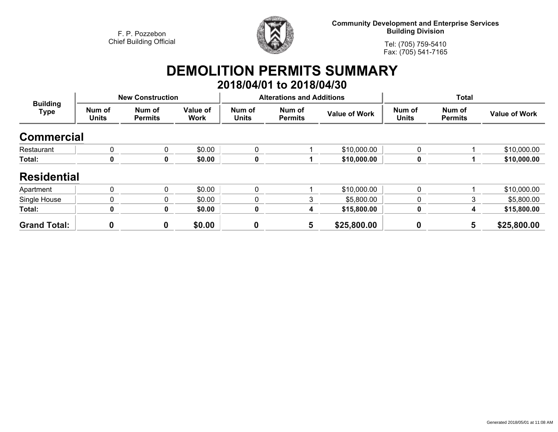

**Community Development and Enterprise Services Building Division**

**Tel: (705) 759-5410Fax: (705) 541-7165**

## **DEMOLITION PERMITS SUMMARY 2018/04/01 to 2018/04/30**

| <b>Building</b><br>Type | <b>New Construction</b> |                          |                         |                        | <b>Alterations and Additions</b> |                      | <b>Total</b>           |                          |                      |
|-------------------------|-------------------------|--------------------------|-------------------------|------------------------|----------------------------------|----------------------|------------------------|--------------------------|----------------------|
|                         | Num of<br><b>Units</b>  | Num of<br><b>Permits</b> | Value of<br><b>Work</b> | Num of<br><b>Units</b> | Num of<br><b>Permits</b>         | <b>Value of Work</b> | Num of<br><b>Units</b> | Num of<br><b>Permits</b> | <b>Value of Work</b> |
| <b>Commercial</b>       |                         |                          |                         |                        |                                  |                      |                        |                          |                      |
| Restaurant              | $\mathbf{0}$            | 0                        | \$0.00                  | $\mathbf{0}$           |                                  | \$10,000.00          | 0                      |                          | \$10,000.00          |
| Total:                  | 0                       | 0                        | \$0.00                  |                        |                                  | \$10,000.00          | 0                      |                          | \$10,000.00          |
| <b>Residential</b>      |                         |                          |                         |                        |                                  |                      |                        |                          |                      |
| Apartment               | $\Omega$                | 0                        | \$0.00                  | $\Omega$               |                                  | \$10,000.00          | 0                      |                          | \$10,000.00          |
| Single House            | 0                       | 0                        | \$0.00                  | 0                      | 3                                | \$5,800.00           | 0                      | 3                        | \$5,800.00           |
| Total:                  | 0                       | 0                        | \$0.00                  | 0                      | 4                                | \$15,800.00          | 0                      | 4                        | \$15,800.00          |
| <b>Grand Total:</b>     | 0                       | 0                        | \$0.00                  | $\mathbf 0$            | 5                                | \$25,800.00          | 0                      | 5                        | \$25,800.00          |